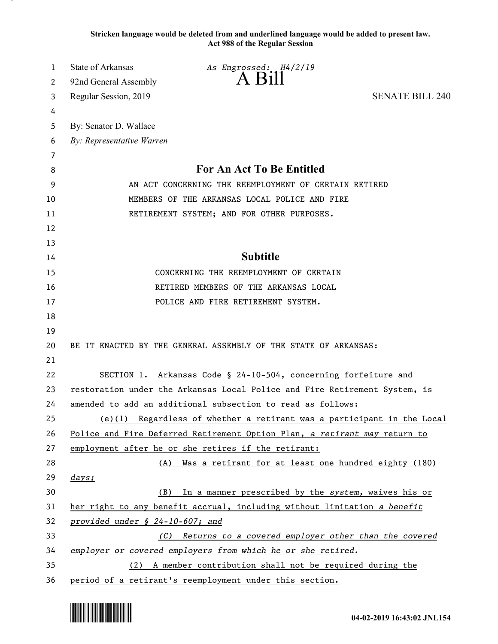**Stricken language would be deleted from and underlined language would be added to present law. Act 988 of the Regular Session**

| 1  | State of Arkansas<br>As Engrossed: H4/2/19                                 |  |
|----|----------------------------------------------------------------------------|--|
| 2  | $A$ $B1$<br>92nd General Assembly                                          |  |
| 3  | <b>SENATE BILL 240</b><br>Regular Session, 2019                            |  |
| 4  |                                                                            |  |
| 5  | By: Senator D. Wallace                                                     |  |
| 6  | By: Representative Warren                                                  |  |
| 7  |                                                                            |  |
| 8  | For An Act To Be Entitled                                                  |  |
| 9  | AN ACT CONCERNING THE REEMPLOYMENT OF CERTAIN RETIRED                      |  |
| 10 | MEMBERS OF THE ARKANSAS LOCAL POLICE AND FIRE                              |  |
| 11 | RETIREMENT SYSTEM; AND FOR OTHER PURPOSES.                                 |  |
| 12 |                                                                            |  |
| 13 |                                                                            |  |
| 14 | <b>Subtitle</b>                                                            |  |
| 15 | CONCERNING THE REEMPLOYMENT OF CERTAIN                                     |  |
| 16 | RETIRED MEMBERS OF THE ARKANSAS LOCAL                                      |  |
| 17 | POLICE AND FIRE RETIREMENT SYSTEM.                                         |  |
| 18 |                                                                            |  |
| 19 |                                                                            |  |
| 20 | BE IT ENACTED BY THE GENERAL ASSEMBLY OF THE STATE OF ARKANSAS:            |  |
| 21 |                                                                            |  |
| 22 | SECTION 1. Arkansas Code § 24-10-504, concerning forfeiture and            |  |
| 23 | restoration under the Arkansas Local Police and Fire Retirement System, is |  |
| 24 | amended to add an additional subsection to read as follows:                |  |
| 25 | $(e)(1)$ Regardless of whether a retirant was a participant in the Local   |  |
| 26 | Police and Fire Deferred Retirement Option Plan, a retirant may return to  |  |
| 27 | employment after he or she retires if the retirant:                        |  |
| 28 | (A) Was a retirant for at least one hundred eighty (180)                   |  |
| 29 | days;                                                                      |  |
| 30 | In a manner prescribed by the system, waives his or<br>(B)                 |  |
| 31 | her right to any benefit accrual, including without limitation a benefit   |  |
| 32 | provided under § 24-10-607; and                                            |  |
| 33 | Returns to a covered employer other than the covered<br>(C)                |  |
| 34 | employer or covered employers from which he or she retired.                |  |
| 35 | (2) A member contribution shall not be required during the                 |  |
| 36 | period of a retirant's reemployment under this section.                    |  |